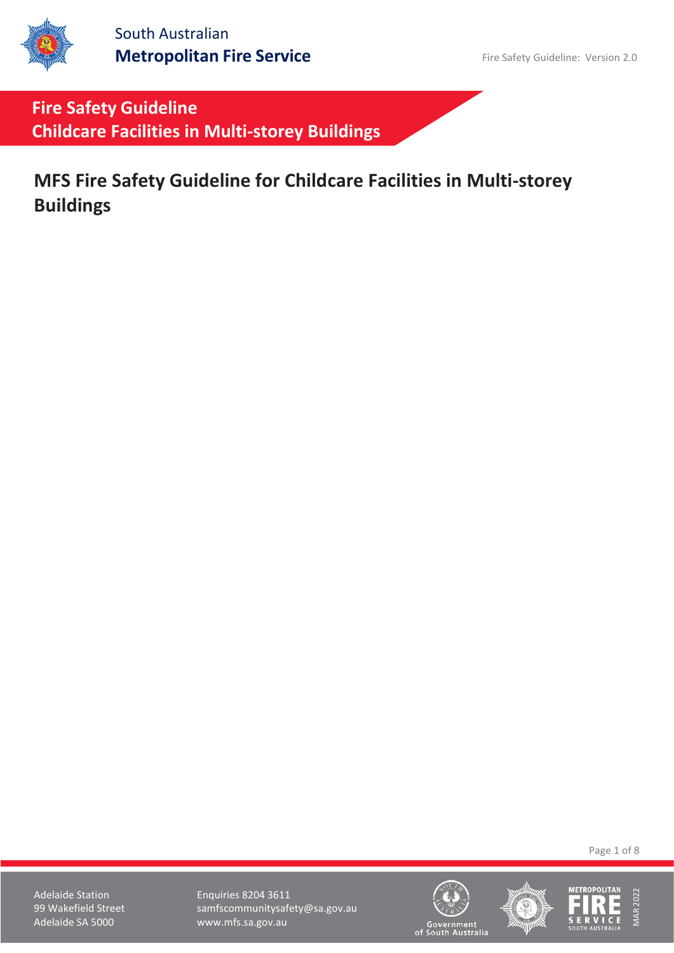

**Fire Safety Guideline Childcare Facilities in Multi-storey Buildings**

**MFS Fire Safety Guideline for Childcare Facilities in Multi-storey Buildings**

Page 1 of 8

Adelaide Station **Enquiries 8204 3611** 99 Wakefield Street samfscommunitysafety@sa.gov.au<br>Adelaide SA 5000 www.mfs.sa.gov.au www.mfs.sa.gov.au





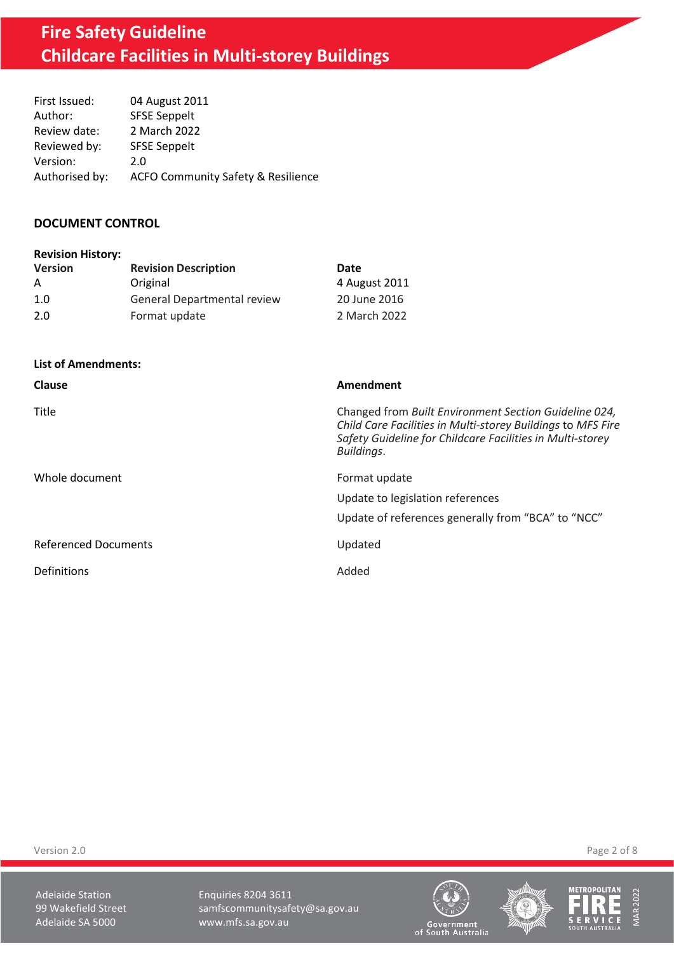# **Fire Safety Guideline Childcare Facilities in Multi-storey Buildings**

| First Issued:  | 04 August 2011                                |
|----------------|-----------------------------------------------|
| Author:        | <b>SFSE Seppelt</b>                           |
| Review date:   | 2 March 2022                                  |
| Reviewed by:   | <b>SFSE Seppelt</b>                           |
| Version:       | 2.0                                           |
| Authorised by: | <b>ACFO Community Safety &amp; Resilience</b> |

#### **DOCUMENT CONTROL**

| <b>Revision History:</b> |                                    |               |
|--------------------------|------------------------------------|---------------|
| <b>Version</b>           | <b>Revision Description</b>        | Date          |
| A                        | Original                           | 4 August 2011 |
| 1.0                      | <b>General Departmental review</b> | 20 June 2016  |
| 2.0                      | Format update                      | 2 March 2022  |

**List of Amendments:**

| Clause                      | Amendment                                                                                                                                                                                       |
|-----------------------------|-------------------------------------------------------------------------------------------------------------------------------------------------------------------------------------------------|
| Title                       | Changed from Built Environment Section Guideline 024,<br>Child Care Facilities in Multi-storey Buildings to MFS Fire<br>Safety Guideline for Childcare Facilities in Multi-storey<br>Buildings. |
| Whole document              | Format update                                                                                                                                                                                   |
|                             | Update to legislation references                                                                                                                                                                |
|                             | Update of references generally from "BCA" to "NCC"                                                                                                                                              |
| <b>Referenced Documents</b> | Updated                                                                                                                                                                                         |
| Definitions                 | Added                                                                                                                                                                                           |

Version 2.0 Page 2 of 8

Adelaide Station **Enquiries 8204 3611** 99 Wakefield Street samfscommunitysafety@sa.gov.au<br>Adelaide SA 5000 www.mfs.sa.gov.au www.mfs.sa.gov.au







Government<br>of South Australia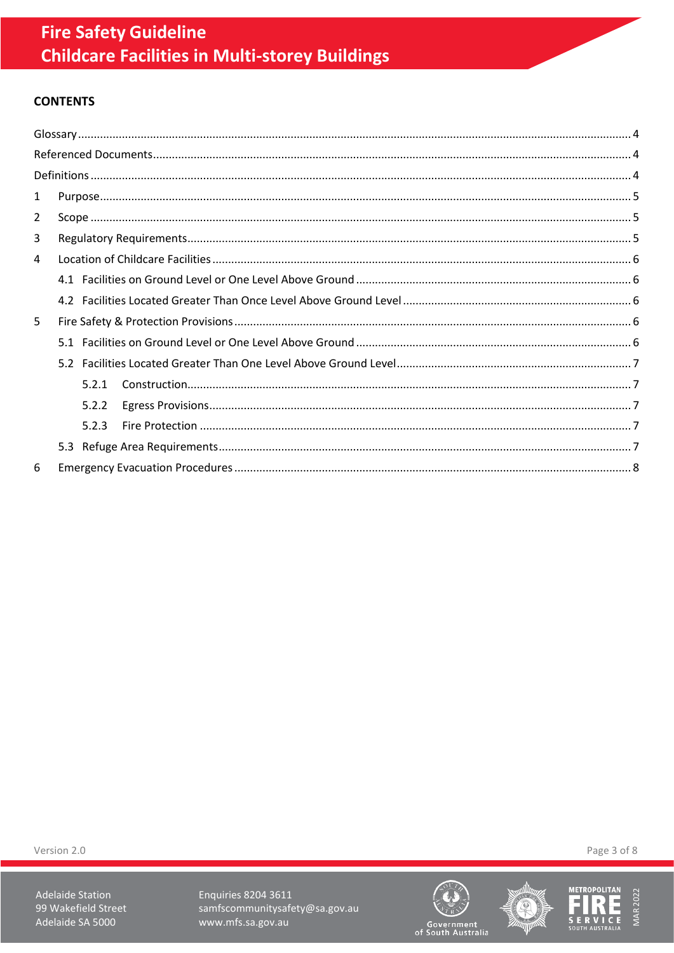# **CONTENTS**

| 1 |       |  |
|---|-------|--|
| 2 |       |  |
| 3 |       |  |
| 4 |       |  |
|   |       |  |
|   |       |  |
| 5 |       |  |
|   |       |  |
|   |       |  |
|   | 5.2.1 |  |
|   | 5.2.2 |  |
|   | 5.2.3 |  |
|   |       |  |
| 6 |       |  |

Version 2.0

Adelaide Station 99 Wakefield Street Adelaide SA 5000

Enquiries 8204 3611 samfscommunitysafety@sa.gov.au www.mfs.sa.gov.au







Page 3 of 8

Government<br>of South Australia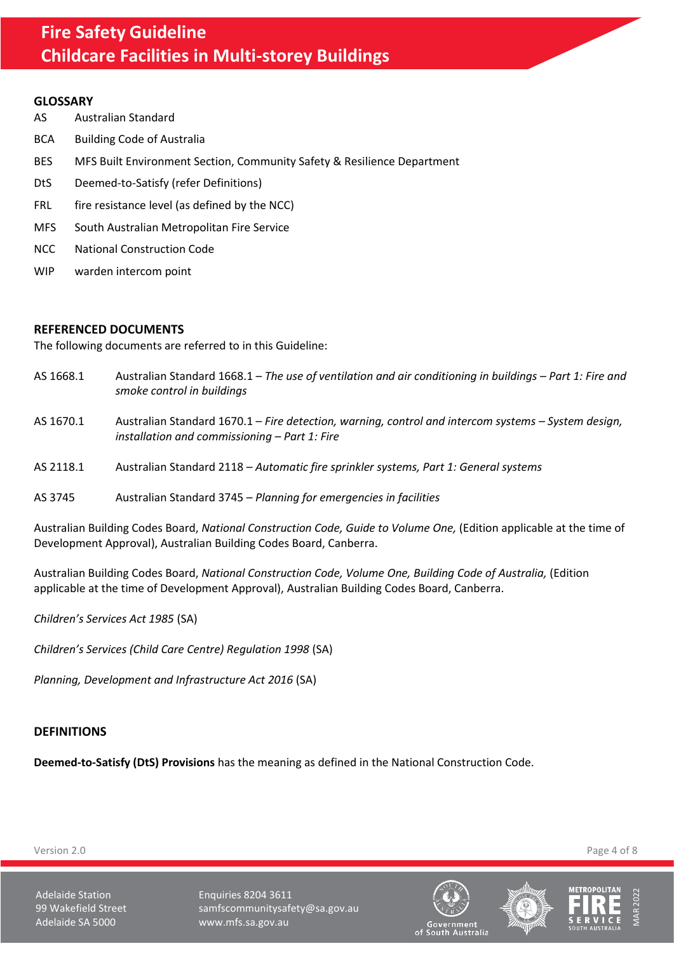#### <span id="page-3-0"></span>**GLOSSARY**

- AS Australian Standard
- BCA Building Code of Australia
- BES MFS Built Environment Section, Community Safety & Resilience Department
- DtS Deemed-to-Satisfy (refer Definitions)
- FRL fire resistance level (as defined by the NCC)
- MFS South Australian Metropolitan Fire Service
- NCC National Construction Code
- WIP warden intercom point

#### <span id="page-3-1"></span>**REFERENCED DOCUMENTS**

The following documents are referred to in this Guideline:

- AS 1668.1 Australian Standard 1668.1 *The use of ventilation and air conditioning in buildings Part 1: Fire and smoke control in buildings*
- AS 1670.1 Australian Standard 1670.1 *Fire detection, warning, control and intercom systems – System design, installation and commissioning – Part 1: Fire*
- AS 2118.1 Australian Standard 2118 *Automatic fire sprinkler systems, Part 1: General systems*
- AS 3745 Australian Standard 3745 *Planning for emergencies in facilities*

Australian Building Codes Board, *National Construction Code, Guide to Volume One,* (Edition applicable at the time of Development Approval), Australian Building Codes Board, Canberra.

Australian Building Codes Board, *National Construction Code, Volume One, Building Code of Australia,* (Edition applicable at the time of Development Approval), Australian Building Codes Board, Canberra.

*Children's Services Act 1985* (SA)

*Children's Services (Child Care Centre) Regulation 1998* (SA)

*Planning, Development and Infrastructure Act 2016* (SA)

#### <span id="page-3-2"></span>**DEFINITIONS**

**Deemed-to-Satisfy (DtS) Provisions** has the meaning as defined in the National Construction Code.







Version 2.0 Page 4 of 8

Adelaide Station **Enquiries 8204 3611** 99 Wakefield Street samfscommunitysafety@sa.gov.au Adelaide SA 5000 www.mfs.sa.gov.au

of South Australia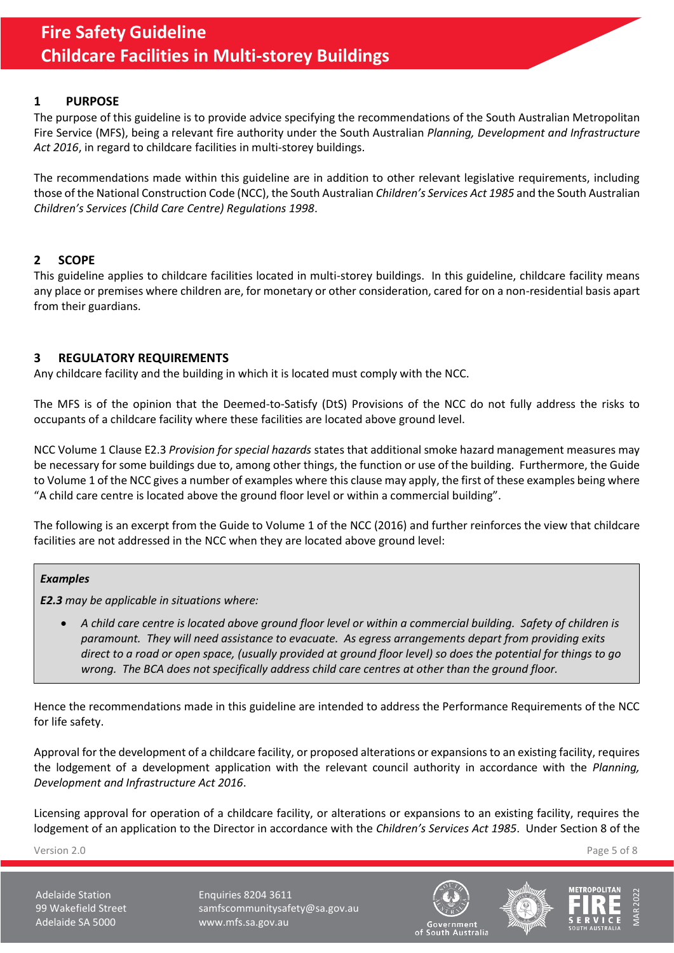## <span id="page-4-0"></span>**1 PURPOSE**

The purpose of this guideline is to provide advice specifying the recommendations of the South Australian Metropolitan Fire Service (MFS), being a relevant fire authority under the South Australian *Planning, Development and Infrastructure Act 2016*, in regard to childcare facilities in multi-storey buildings.

The recommendations made within this guideline are in addition to other relevant legislative requirements, including those of the National Construction Code (NCC), the South Australian *Children's Services Act 1985* and the South Australian *Children's Services (Child Care Centre) Regulations 1998*.

# <span id="page-4-1"></span>**2 SCOPE**

This guideline applies to childcare facilities located in multi-storey buildings. In this guideline, childcare facility means any place or premises where children are, for monetary or other consideration, cared for on a non-residential basis apart from their guardians.

## <span id="page-4-2"></span>**3 REGULATORY REQUIREMENTS**

Any childcare facility and the building in which it is located must comply with the NCC.

The MFS is of the opinion that the Deemed-to-Satisfy (DtS) Provisions of the NCC do not fully address the risks to occupants of a childcare facility where these facilities are located above ground level.

NCC Volume 1 Clause E2.3 *Provision for special hazards* states that additional smoke hazard management measures may be necessary for some buildings due to, among other things, the function or use of the building. Furthermore, the Guide to Volume 1 of the NCC gives a number of examples where this clause may apply, the first of these examples being where "A child care centre is located above the ground floor level or within a commercial building".

The following is an excerpt from the Guide to Volume 1 of the NCC (2016) and further reinforces the view that childcare facilities are not addressed in the NCC when they are located above ground level:

#### *Examples*

*E2.3 may be applicable in situations where:*

• *A child care centre is located above ground floor level or within a commercial building. Safety of children is paramount. They will need assistance to evacuate. As egress arrangements depart from providing exits direct to a road or open space, (usually provided at ground floor level) so does the potential for things to go wrong. The BCA does not specifically address child care centres at other than the ground floor.*

Hence the recommendations made in this guideline are intended to address the Performance Requirements of the NCC for life safety.

Approval for the development of a childcare facility, or proposed alterations or expansions to an existing facility, requires the lodgement of a development application with the relevant council authority in accordance with the *Planning, Development and Infrastructure Act 2016*.

Licensing approval for operation of a childcare facility, or alterations or expansions to an existing facility, requires the lodgement of an application to the Director in accordance with the *Children's Services Act 1985*. Under Section 8 of the

Version 2.0 Page 5 of 8

Adelaide Station **Enquiries 8204 3611** 99 Wakefield Street samfscommunitysafety@sa.gov.au Adelaide SA 5000 www.mfs.sa.gov.au





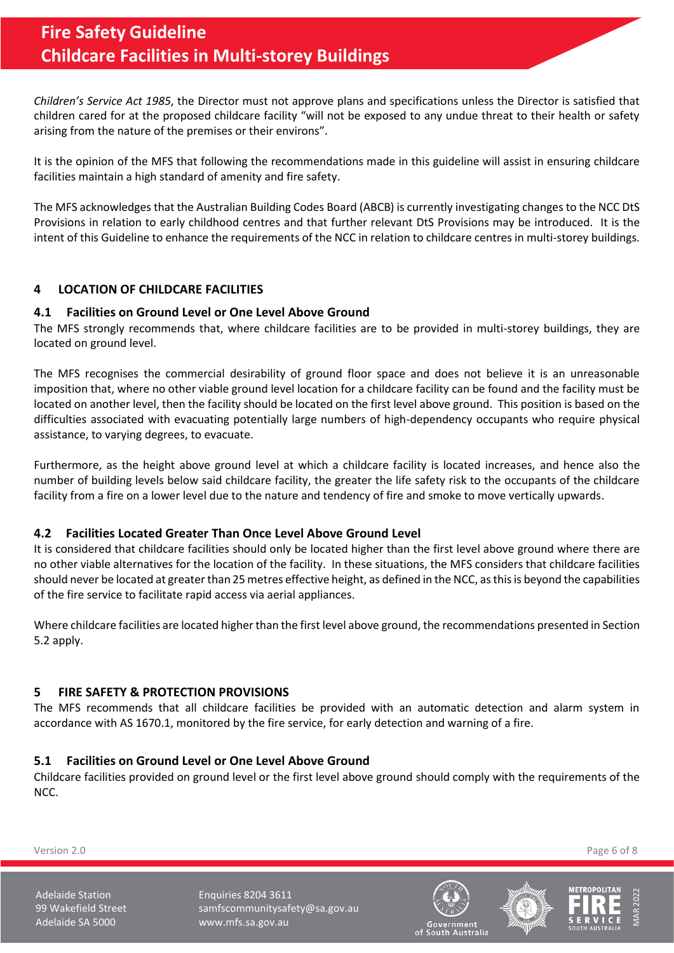*Children's Service Act 1985*, the Director must not approve plans and specifications unless the Director is satisfied that children cared for at the proposed childcare facility "will not be exposed to any undue threat to their health or safety arising from the nature of the premises or their environs".

It is the opinion of the MFS that following the recommendations made in this guideline will assist in ensuring childcare facilities maintain a high standard of amenity and fire safety.

The MFS acknowledges that the Australian Building Codes Board (ABCB) is currently investigating changes to the NCC DtS Provisions in relation to early childhood centres and that further relevant DtS Provisions may be introduced. It is the intent of this Guideline to enhance the requirements of the NCC in relation to childcare centres in multi-storey buildings.

# <span id="page-5-0"></span>**4 LOCATION OF CHILDCARE FACILITIES**

#### <span id="page-5-1"></span>**4.1 Facilities on Ground Level or One Level Above Ground**

The MFS strongly recommends that, where childcare facilities are to be provided in multi-storey buildings, they are located on ground level.

The MFS recognises the commercial desirability of ground floor space and does not believe it is an unreasonable imposition that, where no other viable ground level location for a childcare facility can be found and the facility must be located on another level, then the facility should be located on the first level above ground. This position is based on the difficulties associated with evacuating potentially large numbers of high-dependency occupants who require physical assistance, to varying degrees, to evacuate.

Furthermore, as the height above ground level at which a childcare facility is located increases, and hence also the number of building levels below said childcare facility, the greater the life safety risk to the occupants of the childcare facility from a fire on a lower level due to the nature and tendency of fire and smoke to move vertically upwards.

#### <span id="page-5-2"></span>**4.2 Facilities Located Greater Than Once Level Above Ground Level**

It is considered that childcare facilities should only be located higher than the first level above ground where there are no other viable alternatives for the location of the facility. In these situations, the MFS considers that childcare facilities should never be located at greater than 25 metres effective height, as defined in the NCC, as this is beyond the capabilities of the fire service to facilitate rapid access via aerial appliances.

Where childcare facilities are located higher than the first level above ground, the recommendations presented in Section [5.2](#page-6-0) apply.

# <span id="page-5-3"></span>**5 FIRE SAFETY & PROTECTION PROVISIONS**

The MFS recommends that all childcare facilities be provided with an automatic detection and alarm system in accordance with AS 1670.1, monitored by the fire service, for early detection and warning of a fire.

# <span id="page-5-4"></span>**5.1 Facilities on Ground Level or One Level Above Ground**

Childcare facilities provided on ground level or the first level above ground should comply with the requirements of the NCC.

Version 2.0 Page 6 of 8

Adelaide Station **Enquiries 8204 3611** 99 Wakefield Street samfscommunitysafety@sa.gov.au Adelaide SA 5000 www.mfs.sa.gov.au





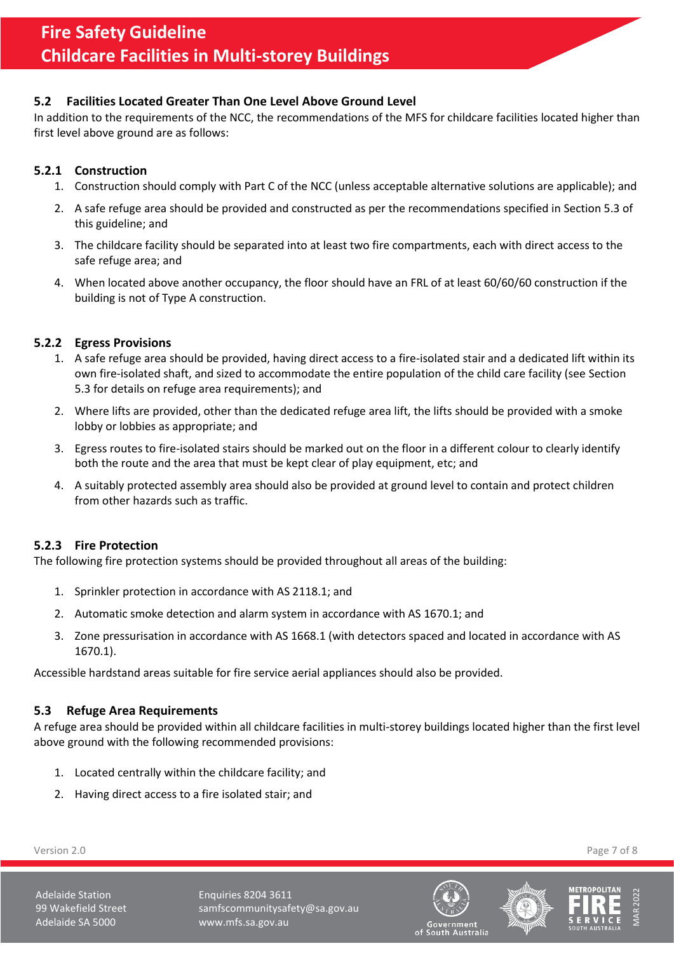## <span id="page-6-0"></span>**5.2 Facilities Located Greater Than One Level Above Ground Level**

In addition to the requirements of the NCC, the recommendations of the MFS for childcare facilities located higher than first level above ground are as follows:

## <span id="page-6-1"></span>**5.2.1 Construction**

- 1. Construction should comply with Part C of the NCC (unless acceptable alternative solutions are applicable); and
- 2. A safe refuge area should be provided and constructed as per the recommendations specified in Sectio[n 5.3](#page-6-4) of this guideline; and
- 3. The childcare facility should be separated into at least two fire compartments, each with direct access to the safe refuge area; and
- 4. When located above another occupancy, the floor should have an FRL of at least 60/60/60 construction if the building is not of Type A construction.

#### <span id="page-6-2"></span>**5.2.2 Egress Provisions**

- 1. A safe refuge area should be provided, having direct access to a fire-isolated stair and a dedicated lift within its own fire-isolated shaft, and sized to accommodate the entire population of the child care facility (see Section [5.3](#page-6-4) for details on refuge area requirements); and
- 2. Where lifts are provided, other than the dedicated refuge area lift, the lifts should be provided with a smoke lobby or lobbies as appropriate; and
- 3. Egress routes to fire-isolated stairs should be marked out on the floor in a different colour to clearly identify both the route and the area that must be kept clear of play equipment, etc; and
- 4. A suitably protected assembly area should also be provided at ground level to contain and protect children from other hazards such as traffic.

#### <span id="page-6-3"></span>**5.2.3 Fire Protection**

The following fire protection systems should be provided throughout all areas of the building:

- 1. Sprinkler protection in accordance with AS 2118.1; and
- 2. Automatic smoke detection and alarm system in accordance with AS 1670.1; and
- 3. Zone pressurisation in accordance with AS 1668.1 (with detectors spaced and located in accordance with AS 1670.1).

Accessible hardstand areas suitable for fire service aerial appliances should also be provided.

#### <span id="page-6-4"></span>**5.3 Refuge Area Requirements**

A refuge area should be provided within all childcare facilities in multi-storey buildings located higher than the first level above ground with the following recommended provisions:

- 1. Located centrally within the childcare facility; and
- 2. Having direct access to a fire isolated stair; and

Version 2.0 Page 7 of 8

Adelaide Station **Enquiries 8204 3611** 99 Wakefield Street samfscommunitysafety@sa.gov.au Adelaide SA 5000 www.mfs.sa.gov.au







of South Australia